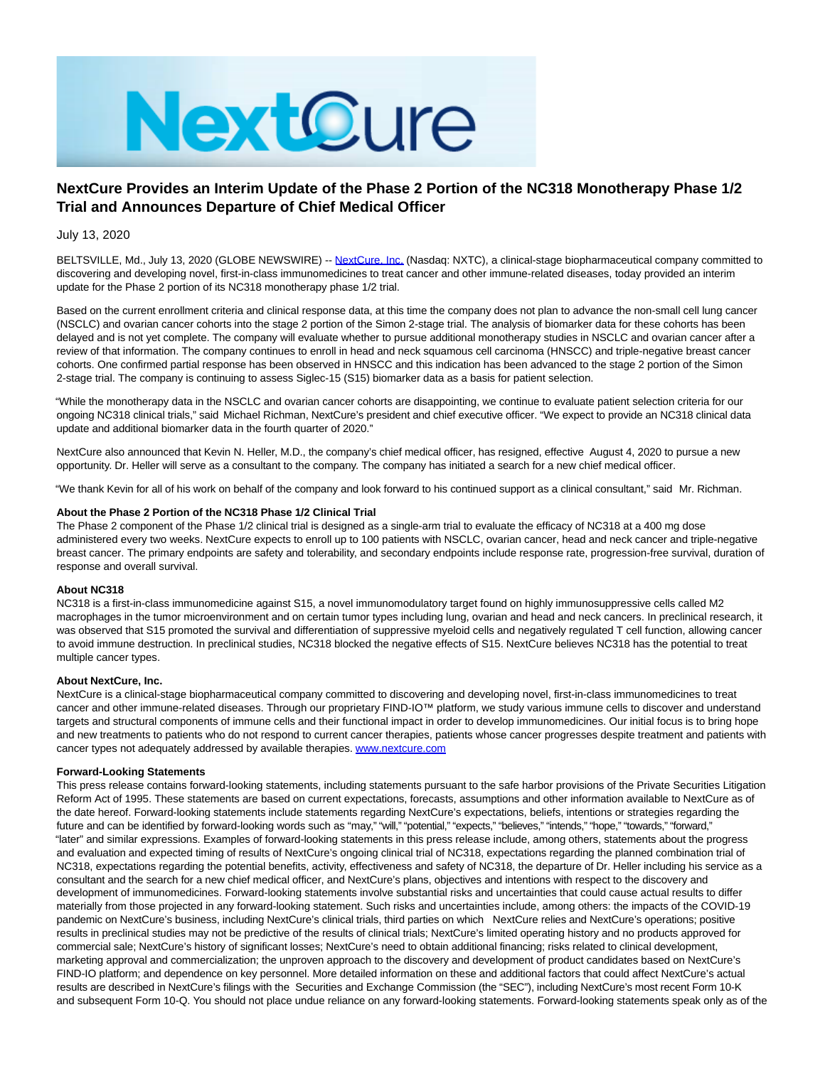

# **NextCure Provides an Interim Update of the Phase 2 Portion of the NC318 Monotherapy Phase 1/2 Trial and Announces Departure of Chief Medical Officer**

## July 13, 2020

BELTSVILLE, Md., July 13, 2020 (GLOBE NEWSWIRE) -- [NextCure, Inc. \(](https://www.globenewswire.com/Tracker?data=UN0hPSMNMaJ_p9FnBFdJzICbGLaQs79LZVqRqvfAmSMW0mOd05LKIuAkfldUrD7SMsJ2LwSobFY_gNW5e2T4Bg==)Nasdaq: NXTC), a clinical-stage biopharmaceutical company committed to discovering and developing novel, first-in-class immunomedicines to treat cancer and other immune-related diseases, today provided an interim update for the Phase 2 portion of its NC318 monotherapy phase 1/2 trial.

Based on the current enrollment criteria and clinical response data, at this time the company does not plan to advance the non-small cell lung cancer (NSCLC) and ovarian cancer cohorts into the stage 2 portion of the Simon 2-stage trial. The analysis of biomarker data for these cohorts has been delayed and is not yet complete. The company will evaluate whether to pursue additional monotherapy studies in NSCLC and ovarian cancer after a review of that information. The company continues to enroll in head and neck squamous cell carcinoma (HNSCC) and triple-negative breast cancer cohorts. One confirmed partial response has been observed in HNSCC and this indication has been advanced to the stage 2 portion of the Simon 2-stage trial. The company is continuing to assess Siglec-15 (S15) biomarker data as a basis for patient selection.

"While the monotherapy data in the NSCLC and ovarian cancer cohorts are disappointing, we continue to evaluate patient selection criteria for our ongoing NC318 clinical trials," said Michael Richman, NextCure's president and chief executive officer. "We expect to provide an NC318 clinical data update and additional biomarker data in the fourth quarter of 2020."

NextCure also announced that Kevin N. Heller, M.D., the company's chief medical officer, has resigned, effective August 4, 2020 to pursue a new opportunity. Dr. Heller will serve as a consultant to the company. The company has initiated a search for a new chief medical officer.

"We thank Kevin for all of his work on behalf of the company and look forward to his continued support as a clinical consultant," said Mr. Richman.

## **About the Phase 2 Portion of the NC318 Phase 1/2 Clinical Trial**

The Phase 2 component of the Phase 1/2 clinical trial is designed as a single-arm trial to evaluate the efficacy of NC318 at a 400 mg dose administered every two weeks. NextCure expects to enroll up to 100 patients with NSCLC, ovarian cancer, head and neck cancer and triple-negative breast cancer. The primary endpoints are safety and tolerability, and secondary endpoints include response rate, progression-free survival, duration of response and overall survival.

### **About NC318**

NC318 is a first-in-class immunomedicine against S15, a novel immunomodulatory target found on highly immunosuppressive cells called M2 macrophages in the tumor microenvironment and on certain tumor types including lung, ovarian and head and neck cancers. In preclinical research, it was observed that S15 promoted the survival and differentiation of suppressive myeloid cells and negatively regulated T cell function, allowing cancer to avoid immune destruction. In preclinical studies, NC318 blocked the negative effects of S15. NextCure believes NC318 has the potential to treat multiple cancer types.

#### **About NextCure, Inc.**

NextCure is a clinical-stage biopharmaceutical company committed to discovering and developing novel, first-in-class immunomedicines to treat cancer and other immune-related diseases. Through our proprietary FIND-IO™ platform, we study various immune cells to discover and understand targets and structural components of immune cells and their functional impact in order to develop immunomedicines. Our initial focus is to bring hope and new treatments to patients who do not respond to current cancer therapies, patients whose cancer progresses despite treatment and patients with cancer types not adequately addressed by available therapies. [www.nextcure.com](https://www.globenewswire.com/Tracker?data=tSGXtpvC96MOOxaOvQoMYOY-3Uci-c7hpj8yenas6kJGxY7MM1coApItS0XtxqTJlcAC9ca3uNqaylcgZ_Z3Sw==)

#### **Forward-Looking Statements**

This press release contains forward-looking statements, including statements pursuant to the safe harbor provisions of the Private Securities Litigation Reform Act of 1995. These statements are based on current expectations, forecasts, assumptions and other information available to NextCure as of the date hereof. Forward-looking statements include statements regarding NextCure's expectations, beliefs, intentions or strategies regarding the future and can be identified by forward-looking words such as "may," "will," "potential," "expects," "believes," "intends," "hope," "towards," "forward," "later" and similar expressions. Examples of forward-looking statements in this press release include, among others, statements about the progress and evaluation and expected timing of results of NextCure's ongoing clinical trial of NC318, expectations regarding the planned combination trial of NC318, expectations regarding the potential benefits, activity, effectiveness and safety of NC318, the departure of Dr. Heller including his service as a consultant and the search for a new chief medical officer, and NextCure's plans, objectives and intentions with respect to the discovery and development of immunomedicines. Forward-looking statements involve substantial risks and uncertainties that could cause actual results to differ materially from those projected in any forward-looking statement. Such risks and uncertainties include, among others: the impacts of the COVID-19 pandemic on NextCure's business, including NextCure's clinical trials, third parties on which NextCure relies and NextCure's operations; positive results in preclinical studies may not be predictive of the results of clinical trials; NextCure's limited operating history and no products approved for commercial sale; NextCure's history of significant losses; NextCure's need to obtain additional financing; risks related to clinical development, marketing approval and commercialization; the unproven approach to the discovery and development of product candidates based on NextCure's FIND-IO platform; and dependence on key personnel. More detailed information on these and additional factors that could affect NextCure's actual results are described in NextCure's filings with the Securities and Exchange Commission (the "SEC"), including NextCure's most recent Form 10-K and subsequent Form 10-Q. You should not place undue reliance on any forward-looking statements. Forward-looking statements speak only as of the